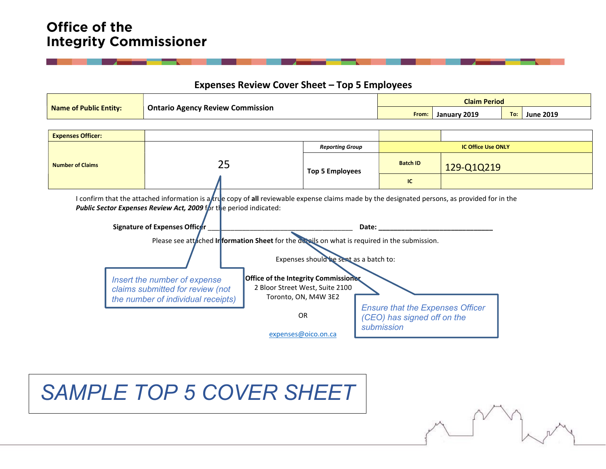# Office of the **Integrity Commissioner**

### Expenses Review Cover Sheet – Top 5 Employees

|                                                                                                                                                                                                                                                       |                                         |                                                                                      |                        | <b>Claim Period</b> |              |                           |                         |  |
|-------------------------------------------------------------------------------------------------------------------------------------------------------------------------------------------------------------------------------------------------------|-----------------------------------------|--------------------------------------------------------------------------------------|------------------------|---------------------|--------------|---------------------------|-------------------------|--|
| <b>Name of Public Entity:</b>                                                                                                                                                                                                                         | <b>Ontario Agency Review Commission</b> |                                                                                      |                        | From:               | January 2019 |                           | <b>June 2019</b><br>To: |  |
|                                                                                                                                                                                                                                                       |                                         |                                                                                      |                        |                     |              |                           |                         |  |
| <b>Expenses Officer:</b>                                                                                                                                                                                                                              |                                         |                                                                                      |                        |                     |              |                           |                         |  |
|                                                                                                                                                                                                                                                       |                                         |                                                                                      | <b>Reporting Group</b> |                     |              | <b>IC Office Use ONLY</b> |                         |  |
| <b>Number of Claims</b>                                                                                                                                                                                                                               | 25                                      |                                                                                      | <b>Top 5 Employees</b> | <b>Batch ID</b>     | 129-Q1Q219   |                           |                         |  |
|                                                                                                                                                                                                                                                       |                                         |                                                                                      |                        | IC.                 |              |                           |                         |  |
| Public Sector Expenses Review Act, 2009 for the period indicated:<br>Signature of Expenses Officer<br>Date:<br>Please see attached Information Sheet for the details on what is required in the submission.<br>Expenses should be sent as a batch to: |                                         |                                                                                      |                        |                     |              |                           |                         |  |
| <b>Office of the Integrity Commissioner</b><br>Insert the number of expense<br>2 Bloor Street West, Suite 2100<br>claims submitted for review (not<br>Toronto, ON, M4W 3E2<br>the number of individual receipts)                                      |                                         |                                                                                      |                        |                     |              |                           |                         |  |
| <b>OR</b>                                                                                                                                                                                                                                             |                                         | <b>Ensure that the Expenses Officer</b><br>(CEO) has signed off on the<br>submission |                        |                     |              |                           |                         |  |
|                                                                                                                                                                                                                                                       |                                         | expenses@oico.on.ca                                                                  |                        |                     |              |                           |                         |  |

# SAMPLE TOP 5 COVER SHEET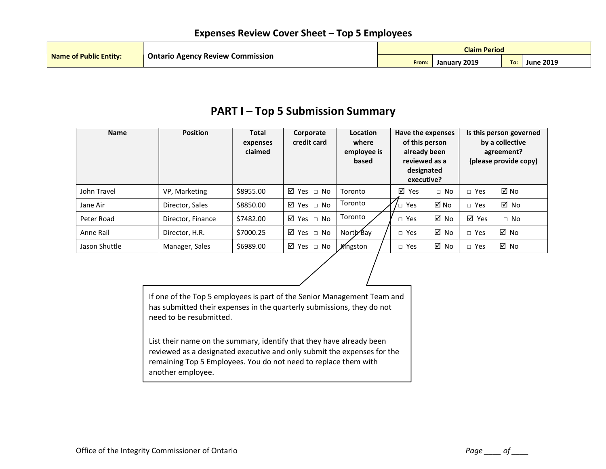|                        |                                         | <b>Claim Period</b> |                 |     |                  |  |
|------------------------|-----------------------------------------|---------------------|-----------------|-----|------------------|--|
| Name of Public Entity: | <b>Ontario Agency Review Commission</b> | From:               | 2019<br>Januarv | To: | <b>June 2019</b> |  |

# PART I – Top 5 Submission Summary

| <b>Name</b>   | <b>Position</b>   | <b>Total</b><br>expenses<br>claimed | Corporate<br>credit card  | Location<br>where<br>employee is<br>based | Have the expenses<br>of this person<br>already been<br>reviewed as a<br>designated<br>executive? |             | Is this person governed<br>by a collective<br>agreement?<br>(please provide copy) |           |
|---------------|-------------------|-------------------------------------|---------------------------|-------------------------------------------|--------------------------------------------------------------------------------------------------|-------------|-----------------------------------------------------------------------------------|-----------|
| John Travel   | VP, Marketing     | \$8955.00                           | $\boxtimes$ Yes $\Box$ No | Toronto                                   | ☑<br>Yes                                                                                         | $\sqcap$ No | $\Box$ Yes                                                                        | ⊠ No      |
| Jane Air      | Director, Sales   | \$8850.00                           | ⊠ Yes □ No                | Toronto                                   | $\prime$ $\Box$ Yes                                                                              | ⊠ No        | $\Box$ Yes                                                                        | ⊠ No      |
| Peter Road    | Director, Finance | \$7482.00                           | ⊠ Yes □ No                | Toronto                                   | $\Box$ Yes                                                                                       | ⊠ No        | ⊠ Yes                                                                             | $\Box$ No |
| Anne Rail     | Director, H.R.    | \$7000.25                           | $\boxtimes$ Yes $\Box$ No | North Bay                                 | $\Box$ Yes                                                                                       | ⊠ No        | $\Box$ Yes                                                                        | ⊠ No      |
| Jason Shuttle | Manager, Sales    | \$6989.00                           | ⊠ Yes □ No                | Kingston                                  | $\Box$ Yes                                                                                       | ⊠ No        | Yes<br>$\Box$                                                                     | ⊠ No      |

If one of the Top 5 employees is part of the Senior Management Team and has submitted their expenses in the quarterly submissions, they do not need to be resubmitted.

List their name on the summary, identify that they have already been reviewed as a designated executive and only submit the expenses for the remaining Top 5 Employees. You do not need to replace them with another employee.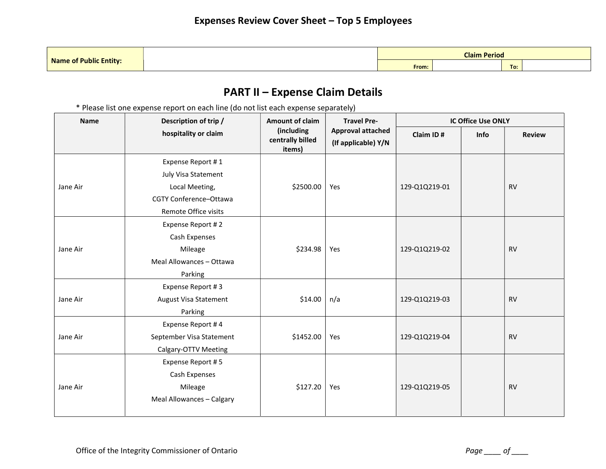|                               |       | <b>Claim Period</b> |     |  |
|-------------------------------|-------|---------------------|-----|--|
| <b>Name of Public Entity:</b> | From: |                     | To: |  |

# PART II – Expense Claim Details

\* Please list one expense report on each line (do not list each expense separately)

| <b>Name</b> | Description of trip /     | <b>Amount of claim</b>                   | <b>Travel Pre-</b>                              | <b>IC Office Use ONLY</b> |      |               |
|-------------|---------------------------|------------------------------------------|-------------------------------------------------|---------------------------|------|---------------|
|             | hospitality or claim      | (including<br>centrally billed<br>items) | <b>Approval attached</b><br>(If applicable) Y/N | Claim ID#                 | Info | <b>Review</b> |
|             | Expense Report #1         |                                          |                                                 |                           |      |               |
|             | July Visa Statement       |                                          |                                                 |                           |      |               |
| Jane Air    | Local Meeting,            | \$2500.00                                | Yes                                             | 129-Q1Q219-01             |      | <b>RV</b>     |
|             | CGTY Conference-Ottawa    |                                          |                                                 |                           |      |               |
|             | Remote Office visits      |                                          |                                                 |                           |      |               |
|             | Expense Report #2         |                                          |                                                 |                           |      |               |
|             | Cash Expenses             |                                          |                                                 |                           |      |               |
| Jane Air    | Mileage                   | \$234.98                                 | Yes                                             | 129-Q1Q219-02             |      | <b>RV</b>     |
|             | Meal Allowances - Ottawa  |                                          |                                                 |                           |      |               |
|             | Parking                   |                                          |                                                 |                           |      |               |
|             | Expense Report #3         |                                          |                                                 |                           |      |               |
| Jane Air    | August Visa Statement     | \$14.00                                  | n/a                                             | 129-Q1Q219-03             |      | <b>RV</b>     |
|             | Parking                   |                                          |                                                 |                           |      |               |
|             | Expense Report #4         |                                          |                                                 |                           |      |               |
| Jane Air    | September Visa Statement  | \$1452.00                                | Yes                                             | 129-Q1Q219-04             |      | <b>RV</b>     |
|             | Calgary-OTTV Meeting      |                                          |                                                 |                           |      |               |
|             | Expense Report #5         |                                          |                                                 |                           |      |               |
|             | Cash Expenses             |                                          |                                                 |                           |      |               |
| Jane Air    | Mileage                   | \$127.20                                 | Yes                                             | 129-Q1Q219-05             |      | <b>RV</b>     |
|             | Meal Allowances - Calgary |                                          |                                                 |                           |      |               |
|             |                           |                                          |                                                 |                           |      |               |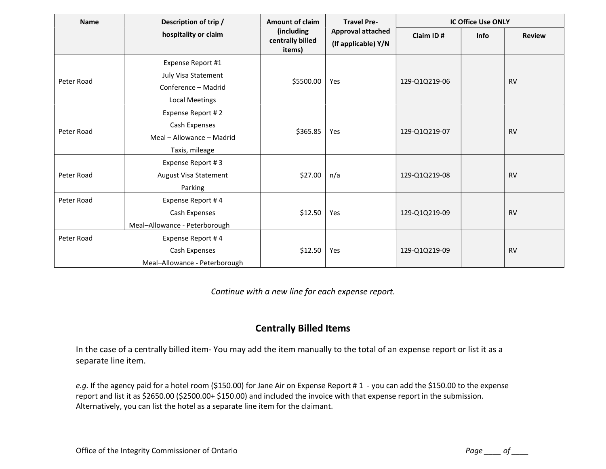| <b>Name</b> | Description of trip /                                                                    | <b>Amount of claim</b>                    | <b>Travel Pre-</b>                              | <b>IC Office Use ONLY</b> |             |               |
|-------------|------------------------------------------------------------------------------------------|-------------------------------------------|-------------------------------------------------|---------------------------|-------------|---------------|
|             | hospitality or claim                                                                     | (including)<br>centrally billed<br>items) | <b>Approval attached</b><br>(If applicable) Y/N | Claim ID#                 | <b>Info</b> | <b>Review</b> |
| Peter Road  | Expense Report #1<br>July Visa Statement<br>Conference - Madrid<br><b>Local Meetings</b> | \$5500.00                                 | Yes                                             | 129-Q1Q219-06             |             | <b>RV</b>     |
| Peter Road  | Expense Report #2<br>Cash Expenses<br>Meal - Allowance - Madrid<br>Taxis, mileage        | \$365.85                                  | Yes                                             | 129-Q1Q219-07             |             | <b>RV</b>     |
| Peter Road  | Expense Report #3<br>August Visa Statement<br>Parking                                    | \$27.00                                   | n/a                                             | 129-Q1Q219-08             |             | <b>RV</b>     |
| Peter Road  | Expense Report #4<br>Cash Expenses<br>Meal-Allowance - Peterborough                      | \$12.50                                   | Yes                                             | 129-Q1Q219-09             |             | <b>RV</b>     |
| Peter Road  | Expense Report #4<br>Cash Expenses<br>Meal-Allowance - Peterborough                      | \$12.50                                   | Yes                                             | 129-Q1Q219-09             |             | <b>RV</b>     |

Continue with a new line for each expense report.

#### Centrally Billed Items

In the case of a centrally billed item- You may add the item manually to the total of an expense report or list it as a separate line item.

e.g. If the agency paid for a hotel room (\$150.00) for Jane Air on Expense Report #1 - you can add the \$150.00 to the expense report and list it as \$2650.00 (\$2500.00+ \$150.00) and included the invoice with that expense report in the submission. Alternatively, you can list the hotel as a separate line item for the claimant.